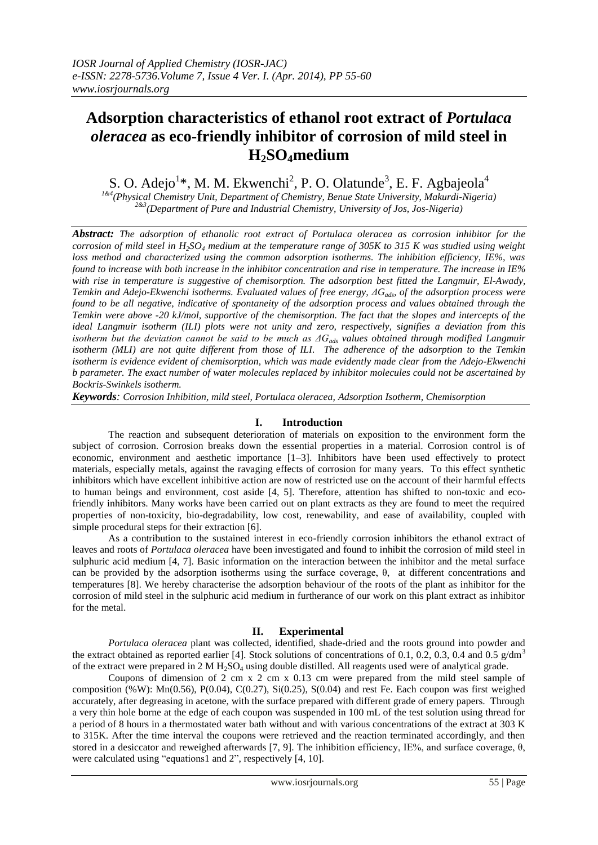# **Adsorption characteristics of ethanol root extract of** *Portulaca oleracea* **as eco-friendly inhibitor of corrosion of mild steel in H2SO4medium**

S. O. Adejo<sup>1</sup>\*, M. M. Ekwenchi<sup>2</sup>, P. O. Olatunde<sup>3</sup>, E. F. Agbajeola<sup>4</sup>

*1&4(Physical Chemistry Unit, Department of Chemistry, Benue State University, Makurdi-Nigeria) 2&3 (Department of Pure and Industrial Chemistry, University of Jos, Jos-Nigeria)*

*Abstract: The adsorption of ethanolic root extract of Portulaca oleracea as corrosion inhibitor for the corrosion of mild steel in H2SO<sup>4</sup> medium at the temperature range of 305K to 315 K was studied using weight loss method and characterized using the common adsorption isotherms. The inhibition efficiency, IE%, was found to increase with both increase in the inhibitor concentration and rise in temperature. The increase in IE% with rise in temperature is suggestive of chemisorption. The adsorption best fitted the Langmuir, El-Awady, Temkin and Adejo-Ekwenchi isotherms. Evaluated values of free energy, ΔGads, of the adsorption process were found to be all negative, indicative of spontaneity of the adsorption process and values obtained through the Temkin were above -20 kJ/mol, supportive of the chemisorption. The fact that the slopes and intercepts of the ideal Langmuir isotherm (ILI) plots were not unity and zero, respectively, signifies a deviation from this isotherm but the deviation cannot be said to be much as ΔGads values obtained through modified Langmuir isotherm (MLI) are not quite different from those of ILI. The adherence of the adsorption to the Temkin isotherm is evidence evident of chemisorption, which was made evidently made clear from the Adejo-Ekwenchi b parameter. The exact number of water molecules replaced by inhibitor molecules could not be ascertained by Bockris-Swinkels isotherm.*

*Keywords: Corrosion Inhibition, mild steel, Portulaca oleracea, Adsorption Isotherm, Chemisorption*

## **I. Introduction**

The reaction and subsequent deterioration of materials on exposition to the environment form the subject of corrosion. Corrosion breaks down the essential properties in a material. Corrosion control is of economic, environment and aesthetic importance [1–3]. Inhibitors have been used effectively to protect materials, especially metals, against the ravaging effects of corrosion for many years. To this effect synthetic inhibitors which have excellent inhibitive action are now of restricted use on the account of their harmful effects to human beings and environment, cost aside [4, 5]. Therefore, attention has shifted to non-toxic and ecofriendly inhibitors. Many works have been carried out on plant extracts as they are found to meet the required properties of non-toxicity, bio-degradability, low cost, renewability, and ease of availability, coupled with simple procedural steps for their extraction [6].

As a contribution to the sustained interest in eco-friendly corrosion inhibitors the ethanol extract of leaves and roots of *Portulaca oleracea* have been investigated and found to inhibit the corrosion of mild steel in sulphuric acid medium [4, 7]. Basic information on the interaction between the inhibitor and the metal surface can be provided by the adsorption isotherms using the surface coverage,  $\theta$ , at different concentrations and temperatures [8]. We hereby characterise the adsorption behaviour of the roots of the plant as inhibitor for the corrosion of mild steel in the sulphuric acid medium in furtherance of our work on this plant extract as inhibitor for the metal.

# **II. Experimental**

*Portulaca oleracea* plant was collected, identified, shade-dried and the roots ground into powder and the extract obtained as reported earlier [4]. Stock solutions of concentrations of 0.1, 0.2, 0.3, 0.4 and 0.5 g/dm<sup>3</sup> of the extract were prepared in 2 M  $H_2SO_4$  using double distilled. All reagents used were of analytical grade.

Coupons of dimension of 2 cm x 2 cm x  $0.13$  cm were prepared from the mild steel sample of composition (%W): Mn(0.56), P(0.04), C(0.27), Si(0.25), S(0.04) and rest Fe. Each coupon was first weighed accurately, after degreasing in acetone, with the surface prepared with different grade of emery papers. Through a very thin hole borne at the edge of each coupon was suspended in 100 mL of the test solution using thread for a period of 8 hours in a thermostated water bath without and with various concentrations of the extract at 303 K to 315K. After the time interval the coupons were retrieved and the reaction terminated accordingly, and then stored in a desiccator and reweighed afterwards [7, 9]. The inhibition efficiency, IE%, and surface coverage,  $θ$ , were calculated using "equations1 and 2", respectively [4, 10].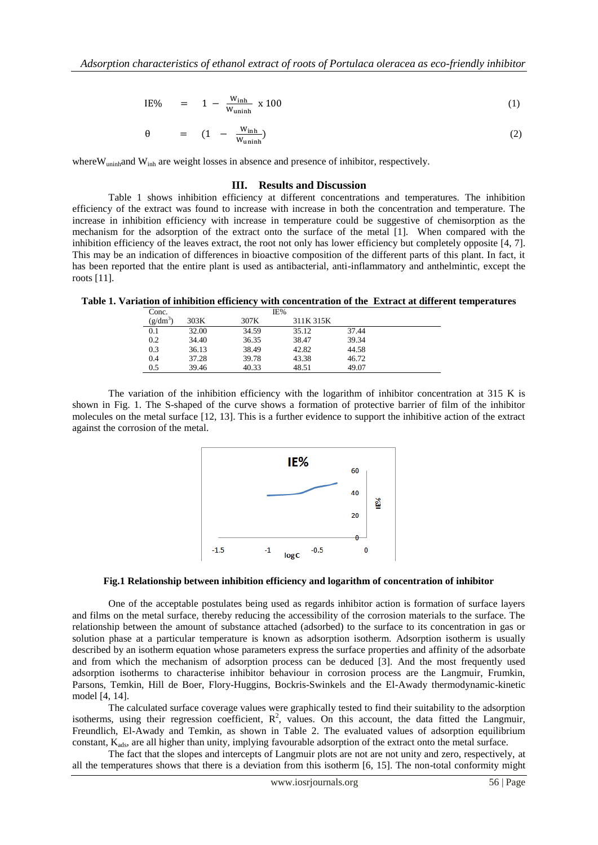$$
IE\% = 1 - \frac{W_{inh}}{W_{uninh}} \times 100 \tag{1}
$$

$$
\theta = (1 - \frac{W_{inh}}{W_{uninh}}) \tag{2}
$$

where W<sub>uninh</sub>and W<sub>inh</sub> are weight losses in absence and presence of inhibitor, respectively.

#### **III. Results and Discussion**

Table 1 shows inhibition efficiency at different concentrations and temperatures. The inhibition efficiency of the extract was found to increase with increase in both the concentration and temperature. The increase in inhibition efficiency with increase in temperature could be suggestive of chemisorption as the mechanism for the adsorption of the extract onto the surface of the metal [1]. When compared with the inhibition efficiency of the leaves extract, the root not only has lower efficiency but completely opposite [4, 7]. This may be an indication of differences in bioactive composition of the different parts of this plant. In fact, it has been reported that the entire plant is used as antibacterial, anti-inflammatory and anthelmintic, except the roots [11].

**Table 1. Variation of inhibition efficiency with concentration of the Extract at different temperatures**

| Conc.      |       | IE%   |           |       |  |
|------------|-------|-------|-----------|-------|--|
| $(g/dm^3)$ | 303K  | 307K  | 311K 315K |       |  |
| 0.1        | 32.00 | 34.59 | 35.12     | 37.44 |  |
| 0.2        | 34.40 | 36.35 | 38.47     | 39.34 |  |
| 0.3        | 36.13 | 38.49 | 42.82     | 44.58 |  |
| 0.4        | 37.28 | 39.78 | 43.38     | 46.72 |  |
| 0.5        | 39.46 | 40.33 | 48.51     | 49.07 |  |

The variation of the inhibition efficiency with the logarithm of inhibitor concentration at 315 K is shown in Fig. 1. The S-shaped of the curve shows a formation of protective barrier of film of the inhibitor molecules on the metal surface [12, 13]. This is a further evidence to support the inhibitive action of the extract against the corrosion of the metal.



#### **Fig.1 Relationship between inhibition efficiency and logarithm of concentration of inhibitor**

One of the acceptable postulates being used as regards inhibitor action is formation of surface layers and films on the metal surface, thereby reducing the accessibility of the corrosion materials to the surface. The relationship between the amount of substance attached (adsorbed) to the surface to its concentration in gas or solution phase at a particular temperature is known as adsorption isotherm. Adsorption isotherm is usually described by an isotherm equation whose parameters express the surface properties and affinity of the adsorbate and from which the mechanism of adsorption process can be deduced [3]. And the most frequently used adsorption isotherms to characterise inhibitor behaviour in corrosion process are the Langmuir, Frumkin, Parsons, Temkin, Hill de Boer, Flory-Huggins, Bockris-Swinkels and the El-Awady thermodynamic-kinetic model [4, 14].

The calculated surface coverage values were graphically tested to find their suitability to the adsorption isotherms, using their regression coefficient,  $R^2$ , values. On this account, the data fitted the Langmuir, Freundlich, El-Awady and Temkin, as shown in Table 2. The evaluated values of adsorption equilibrium constant,  $K_{ads}$ , are all higher than unity, implying favourable adsorption of the extract onto the metal surface.

The fact that the slopes and intercepts of Langmuir plots are not are not unity and zero, respectively, at all the temperatures shows that there is a deviation from this isotherm [6, 15]. The non-total conformity might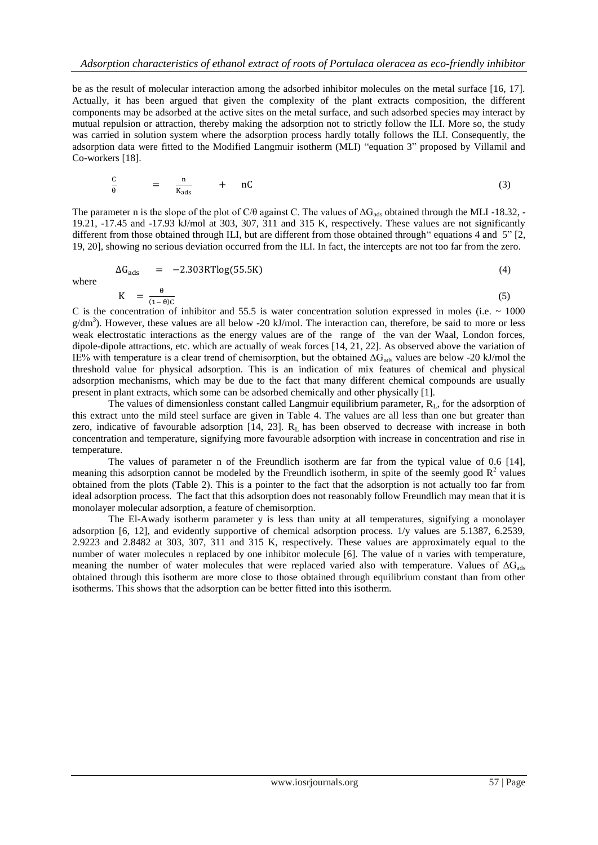be as the result of molecular interaction among the adsorbed inhibitor molecules on the metal surface [16, 17]. Actually, it has been argued that given the complexity of the plant extracts composition, the different components may be adsorbed at the active sites on the metal surface, and such adsorbed species may interact by mutual repulsion or attraction, thereby making the adsorption not to strictly follow the ILI. More so, the study was carried in solution system where the adsorption process hardly totally follows the ILI. Consequently, the adsorption data were fitted to the Modified Langmuir isotherm (MLI) "equation 3" proposed by Villamil and Co-workers [18].

$$
\frac{C}{\theta} = \frac{n}{K_{\text{ads}}} + nC \tag{3}
$$

The parameter n is the slope of the plot of C/θ against C. The values of  $\Delta G_{ads}$  obtained through the MLI -18.32, -19.21, -17.45 and -17.93 kJ/mol at 303, 307, 311 and 315 K, respectively. These values are not significantly different from those obtained through ILI, but are different from those obtained through" equations 4 and 5" [2, 19, 20], showing no serious deviation occurred from the ILI. In fact, the intercepts are not too far from the zero.

$$
\Delta G_{ads} = -2.303RT \log(55.5K) \tag{4}
$$

where

$$
K = \frac{\theta}{(1-\theta)C} \tag{5}
$$

C is the concentration of inhibitor and 55.5 is water concentration solution expressed in moles (i.e.  $\sim 1000$ ) g/dm<sup>3</sup>). However, these values are all below -20 kJ/mol. The interaction can, therefore, be said to more or less weak electrostatic interactions as the energy values are of the range of the van der Waal, London forces, dipole-dipole attractions, etc. which are actually of weak forces [14, 21, 22]. As observed above the variation of IE% with temperature is a clear trend of chemisorption, but the obtained  $\Delta G_{ads}$  values are below -20 kJ/mol the threshold value for physical adsorption. This is an indication of mix features of chemical and physical adsorption mechanisms, which may be due to the fact that many different chemical compounds are usually present in plant extracts, which some can be adsorbed chemically and other physically [1].

The values of dimensionless constant called Langmuir equilibrium parameter,  $R_L$ , for the adsorption of this extract unto the mild steel surface are given in Table 4. The values are all less than one but greater than zero, indicative of favourable adsorption  $[14, 23]$ .  $R<sub>L</sub>$  has been observed to decrease with increase in both concentration and temperature, signifying more favourable adsorption with increase in concentration and rise in temperature.

The values of parameter n of the Freundlich isotherm are far from the typical value of 0.6 [14], meaning this adsorption cannot be modeled by the Freundlich isotherm, in spite of the seemly good  $R^2$  values obtained from the plots (Table 2). This is a pointer to the fact that the adsorption is not actually too far from ideal adsorption process. The fact that this adsorption does not reasonably follow Freundlich may mean that it is monolayer molecular adsorption, a feature of chemisorption.

The El-Awady isotherm parameter y is less than unity at all temperatures, signifying a monolayer adsorption [6, 12], and evidently supportive of chemical adsorption process. 1/y values are 5.1387, 6.2539, 2.9223 and 2.8482 at 303, 307, 311 and 315 K, respectively. These values are approximately equal to the number of water molecules n replaced by one inhibitor molecule [6]. The value of n varies with temperature, meaning the number of water molecules that were replaced varied also with temperature. Values of  $\Delta G_{ads}$ obtained through this isotherm are more close to those obtained through equilibrium constant than from other isotherms. This shows that the adsorption can be better fitted into this isotherm.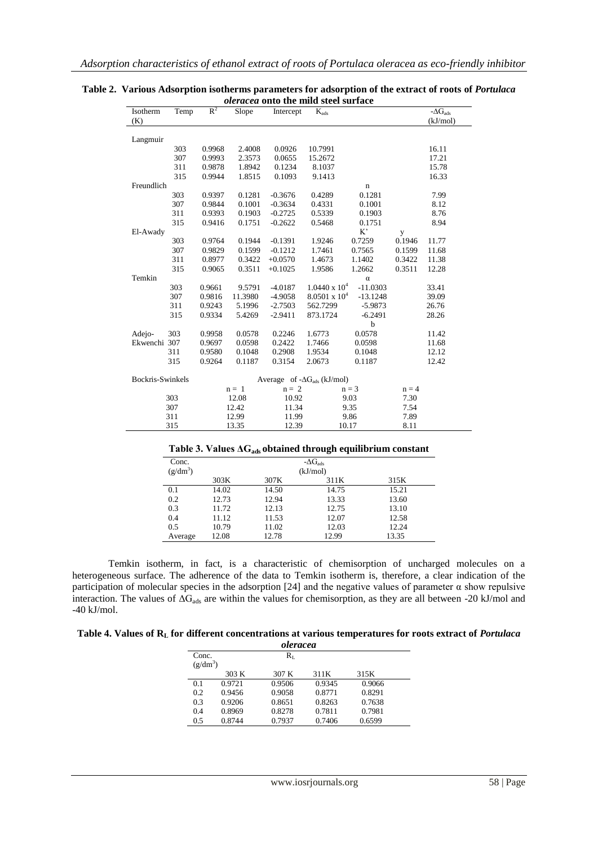| Isotherm         | Temp | $R^2$  | Slope   | Intercept | $K_{ads}$                             |             |         | $-\Delta G_{ads}$ |
|------------------|------|--------|---------|-----------|---------------------------------------|-------------|---------|-------------------|
| (K)              |      |        |         |           |                                       |             |         | (kJ/mol)          |
|                  |      |        |         |           |                                       |             |         |                   |
| Langmuir         |      |        |         |           |                                       |             |         |                   |
|                  | 303  | 0.9968 | 2.4008  | 0.0926    | 10.7991                               |             |         | 16.11             |
|                  | 307  | 0.9993 | 2.3573  | 0.0655    | 15.2672                               |             |         | 17.21             |
|                  | 311  | 0.9878 | 1.8942  | 0.1234    | 8.1037                                |             |         | 15.78             |
|                  | 315  | 0.9944 | 1.8515  | 0.1093    | 9.1413                                |             |         | 16.33             |
| Freundlich       |      |        |         |           |                                       | $\mathbf n$ |         |                   |
|                  | 303  | 0.9397 | 0.1281  | $-0.3676$ | 0.4289                                | 0.1281      |         | 7.99              |
|                  | 307  | 0.9844 | 0.1001  | $-0.3634$ | 0.4331                                | 0.1001      |         | 8.12              |
|                  | 311  | 0.9393 | 0.1903  | $-0.2725$ | 0.5339                                | 0.1903      |         | 8.76              |
|                  | 315  | 0.9416 | 0.1751  | $-0.2622$ | 0.5468                                | 0.1751      |         | 8.94              |
| El-Awady         |      |        |         |           |                                       | $K^*$       | y       |                   |
|                  | 303  | 0.9764 | 0.1944  | $-0.1391$ | 1.9246                                | 0.7259      | 0.1946  | 11.77             |
|                  | 307  | 0.9829 | 0.1599  | $-0.1212$ | 1.7461                                | 0.7565      | 0.1599  | 11.68             |
|                  | 311  | 0.8977 | 0.3422  | $+0.0570$ | 1.4673                                | 1.1402      | 0.3422  | 11.38             |
|                  | 315  | 0.9065 | 0.3511  | $+0.1025$ | 1.9586                                | 1.2662      | 0.3511  | 12.28             |
| Temkin           |      |        |         |           |                                       | $\alpha$    |         |                   |
|                  | 303  | 0.9661 | 9.5791  | $-4.0187$ | $1.0440 \times 10^4$                  | $-11.0303$  |         | 33.41             |
|                  | 307  | 0.9816 | 11.3980 | $-4.9058$ | $8.0501 \times 10^{4}$                | $-13.1248$  |         | 39.09             |
|                  | 311  | 0.9243 | 5.1996  | $-2.7503$ | 562.7299                              | $-5.9873$   |         | 26.76             |
|                  | 315  | 0.9334 | 5.4269  | $-2.9411$ | 873.1724                              | $-6.2491$   |         | 28.26             |
|                  |      |        |         |           |                                       | $\mathbf b$ |         |                   |
| Adejo-           | 303  | 0.9958 | 0.0578  | 0.2246    | 1.6773                                | 0.0578      |         | 11.42             |
| Ekwenchi 307     |      | 0.9697 | 0.0598  | 0.2422    | 1.7466                                | 0.0598      |         | 11.68             |
|                  | 311  | 0.9580 | 0.1048  | 0.2908    | 1.9534                                | 0.1048      |         | 12.12             |
|                  | 315  | 0.9264 | 0.1187  | 0.3154    | 2.0673                                | 0.1187      |         | 12.42             |
|                  |      |        |         |           |                                       |             |         |                   |
| Bockris-Swinkels |      |        |         |           | Average of $-\Delta G_{ads}$ (kJ/mol) |             |         |                   |
|                  |      |        | $n = 1$ | $n = 2$   |                                       | $n = 3$     | $n = 4$ |                   |
|                  | 303  |        | 12.08   | 10.92     |                                       | 9.03        | 7.30    |                   |
|                  | 307  |        | 12.42   | 11.34     |                                       | 9.35        | 7.54    |                   |
|                  | 311  |        | 12.99   | 11.99     |                                       | 9.86        | 7.89    |                   |
|                  | 315  |        | 13.35   | 12.39     | 10.17                                 |             | 8.11    |                   |

#### **Table 2. Various Adsorption isotherms parameters for adsorption of the extract of roots of** *Portulaca oleracea* **onto the mild steel surface**

### **Table 3. Values ΔGads obtained through equilibrium constant**

| Conc.      |          |       | $-\Delta G_{ads}$ |       |  |  |
|------------|----------|-------|-------------------|-------|--|--|
| $(g/dm^3)$ | (kJ/mol) |       |                   |       |  |  |
|            | 303K     | 307K  | 311K              | 315K  |  |  |
| 0.1        | 14.02    | 14.50 | 14.75             | 15.21 |  |  |
| 0.2        | 12.73    | 12.94 | 13.33             | 13.60 |  |  |
| 0.3        | 11.72    | 12.13 | 12.75             | 13.10 |  |  |
| 0.4        | 11.12    | 11.53 | 12.07             | 12.58 |  |  |
| 0.5        | 10.79    | 11.02 | 12.03             | 12.24 |  |  |
| Average    | 12.08    | 12.78 | 12.99             | 13.35 |  |  |

Temkin isotherm, in fact, is a characteristic of chemisorption of uncharged molecules on a heterogeneous surface. The adherence of the data to Temkin isotherm is, therefore, a clear indication of the participation of molecular species in the adsorption [24] and the negative values of parameter α show repulsive interaction. The values of  $\Delta G_{ads}$  are within the values for chemisorption, as they are all between -20 kJ/mol and -40 kJ/mol.

#### **Table 4. Values of R<sup>L</sup> for different concentrations at various temperatures for roots extract of** *Portulaca oleracea*

| vieracea            |        |         |        |        |  |  |  |
|---------------------|--------|---------|--------|--------|--|--|--|
| Conc.<br>$(g/dm^3)$ |        | $R_{L}$ |        |        |  |  |  |
|                     | 303 K  | 307 K   | 311K   | 315K   |  |  |  |
| 0.1                 | 0.9721 | 0.9506  | 0.9345 | 0.9066 |  |  |  |
| 0.2                 | 0.9456 | 0.9058  | 0.8771 | 0.8291 |  |  |  |
| 0.3                 | 0.9206 | 0.8651  | 0.8263 | 0.7638 |  |  |  |
| 0.4                 | 0.8969 | 0.8278  | 0.7811 | 0.7981 |  |  |  |
| 0.5                 | 0.8744 | 0.7937  | 0.7406 | 0.6599 |  |  |  |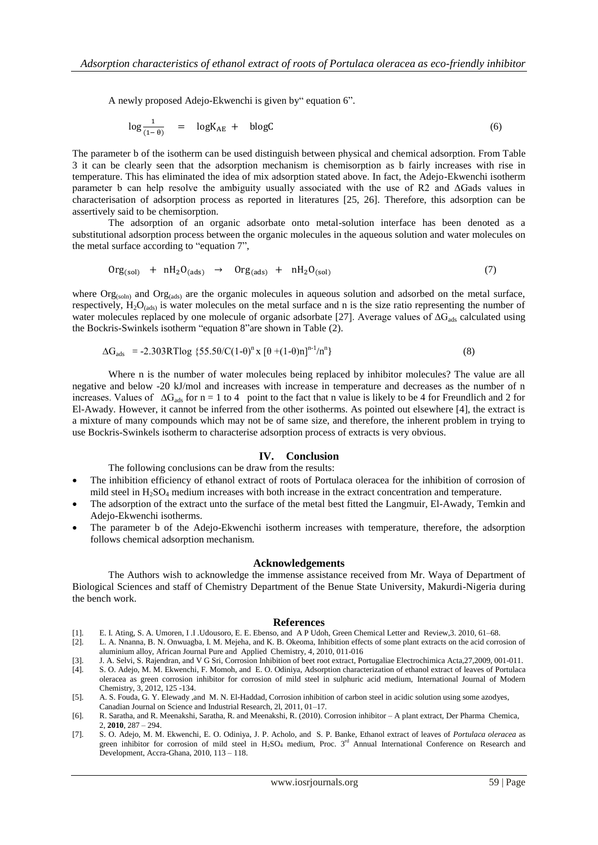A newly proposed Adejo-Ekwenchi is given by" equation 6".

$$
\log \frac{1}{(1-\theta)} = \log K_{AE} + \text{blog}C \tag{6}
$$

The parameter b of the isotherm can be used distinguish between physical and chemical adsorption. From Table 3 it can be clearly seen that the adsorption mechanism is chemisorption as b fairly increases with rise in temperature. This has eliminated the idea of mix adsorption stated above. In fact, the Adejo-Ekwenchi isotherm parameter b can help resolve the ambiguity usually associated with the use of R2 and ΔGads values in characterisation of adsorption process as reported in literatures [25, 26]. Therefore, this adsorption can be assertively said to be chemisorption.

The adsorption of an organic adsorbate onto metal-solution interface has been denoted as a substitutional adsorption process between the organic molecules in the aqueous solution and water molecules on the metal surface according to "equation 7",

$$
Org(sol) + nH2O(ads) \rightarrow org(ads) + nH2O(sol)
$$
\n(7)

where  $\text{Org}_{\text{(soln)}}$  and  $\text{Org}_{\text{(ads)}}$  are the organic molecules in aqueous solution and adsorbed on the metal surface, respectively,  $H_2O_{(ads)}$  is water molecules on the metal surface and n is the size ratio representing the number of water molecules replaced by one molecule of organic adsorbate [27]. Average values of  $\Delta G_{ads}$  calculated using the Bockris-Swinkels isotherm "equation 8"are shown in Table (2).

$$
\Delta G_{ads} = -2.303 RT \log \{55.5\theta/C(1-\theta)^n \times [\theta + (1-\theta)n]^{n-1}/n^n\}
$$
\n(8)

Where n is the number of water molecules being replaced by inhibitor molecules? The value are all negative and below -20 kJ/mol and increases with increase in temperature and decreases as the number of n increases. Values of  $\Delta G_{ads}$  for n = 1 to 4 point to the fact that n value is likely to be 4 for Freundlich and 2 for El-Awady. However, it cannot be inferred from the other isotherms. As pointed out elsewhere [4], the extract is a mixture of many compounds which may not be of same size, and therefore, the inherent problem in trying to use Bockris-Swinkels isotherm to characterise adsorption process of extracts is very obvious.

## **IV. Conclusion**

The following conclusions can be draw from the results:

- The inhibition efficiency of ethanol extract of roots of Portulaca oleracea for the inhibition of corrosion of mild steel in  $H_2SO_4$  medium increases with both increase in the extract concentration and temperature.
- The adsorption of the extract unto the surface of the metal best fitted the Langmuir, El-Awady, Temkin and Adejo-Ekwenchi isotherms.
- The parameter b of the Adejo-Ekwenchi isotherm increases with temperature, therefore, the adsorption follows chemical adsorption mechanism.

#### **Acknowledgements**

The Authors wish to acknowledge the immense assistance received from Mr. Waya of Department of Biological Sciences and staff of Chemistry Department of the Benue State University, Makurdi-Nigeria during the bench work.

#### **References**

- [1]. E. I. Ating, S. A. Umoren, I .I .Udousoro, E. E. Ebenso, and A P Udoh, Green Chemical Letter and Review,3. 2010, 61–68.
- [2]. L. A. Nnanna, B. N. Onwuagba, I. M. Mejeha, and K. B. Okeoma, Inhibition effects of some plant extracts on the acid corrosion of aluminium alloy, African Journal Pure and Applied Chemistry, 4, 2010, 011-016
- [3]. J. A. Selvi, S. Rajendran, and V G Sri, Corrosion Inhibition of beet root extract, Portugaliae Electrochimica Acta,27,2009, 001-011.
- [4]. S. O. Adejo, M. M. Ekwenchi, F. Momoh, and E. O. Odiniya, Adsorption characterization of ethanol extract of leaves of Portulaca oleracea as green corrosion inhibitor for corrosion of mild steel in sulphuric acid medium, International Journal of Modern Chemistry, 3, 2012, 125 -134.
- [5]. A. S. Fouda, G. Y. Elewady ,and M. N. El-Haddad, Corrosion inhibition of carbon steel in acidic solution using some azodyes, Canadian Journal on Science and Industrial Research, 2l, 2011, 01–17.
- [6]. R. Saratha, and R. Meenakshi, Saratha, R. and Meenakshi, R. (2010). Corrosion inhibitor A plant extract, Der Pharma Chemica, 2, **2010**, 287 – 294.
- [7]. S. O. Adejo, M. M. Ekwenchi, E. O. Odiniya, J. P. Acholo, and S. P. Banke, Ethanol extract of leaves of *Portulaca oleracea* as green inhibitor for corrosion of mild steel in  $H_2SO_4$  medium, Proc. 3<sup>rd</sup> Annual International Conference on Research and Development, Accra-Ghana, 2010, 113 – 118.